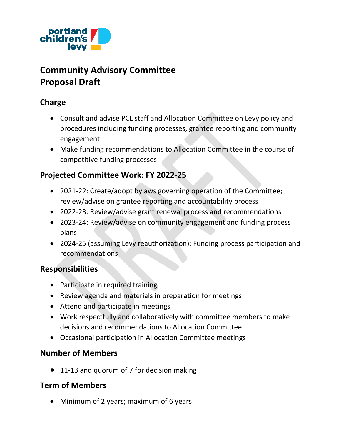

# **Community Advisory Committee Proposal Draft**

# **Charge**

- Consult and advise PCL staff and Allocation Committee on Levy policy and procedures including funding processes, grantee reporting and community engagement
- Make funding recommendations to Allocation Committee in the course of competitive funding processes

# **Projected Committee Work: FY 2022-25**

- 2021-22: Create/adopt bylaws governing operation of the Committee; review/advise on grantee reporting and accountability process
- 2022-23: Review/advise grant renewal process and recommendations
- 2023-24: Review/advise on community engagement and funding process plans
- 2024-25 (assuming Levy reauthorization): Funding process participation and recommendations

## **Responsibilities**

- Participate in required training
- Review agenda and materials in preparation for meetings
- Attend and participate in meetings
- Work respectfully and collaboratively with committee members to make decisions and recommendations to Allocation Committee
- Occasional participation in Allocation Committee meetings

## **Number of Members**

• 11-13 and quorum of 7 for decision making

## **Term of Members**

• Minimum of 2 years; maximum of 6 years